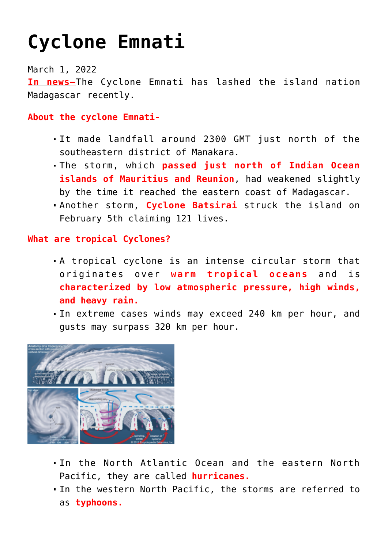# **[Cyclone Emnati](https://journalsofindia.com/cyclone-emnati/)**

March 1, 2022

**In news–**The Cyclone Emnati has lashed the island nation Madagascar recently.

### **About the cyclone Emnati-**

- It made landfall around 2300 GMT just north of the southeastern district of Manakara.
- The storm, which **passed just north of Indian Ocean islands of Mauritius and Reunion**, had weakened slightly by the time it reached the eastern coast of Madagascar.
- Another storm, **Cyclone Batsirai** struck the island on February 5th claiming 121 lives.

## **What are tropical Cyclones?**

- A tropical cyclone is an intense circular storm that originates over **warm tropical oceans** and is **characterized by low atmospheric pressure, high winds, and heavy rain.**
- In extreme cases winds may exceed 240 km per hour, and gusts may surpass 320 km per hour.



- In the North Atlantic Ocean and the eastern North Pacific, they are called **hurricanes.**
- In the western North Pacific, the storms are referred to as **typhoons.**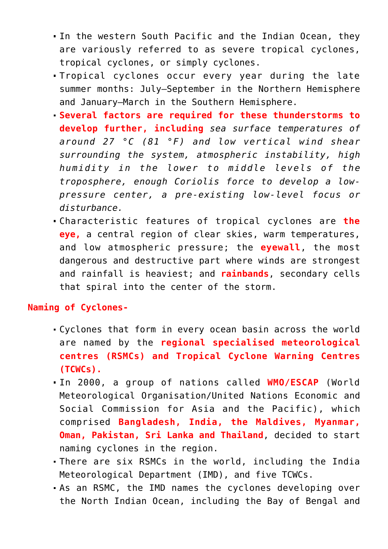- In the western South Pacific and the Indian Ocean, they are variously referred to as severe tropical cyclones, tropical cyclones, or simply cyclones.
- Tropical cyclones occur every year during the late summer months: July–September in the Northern Hemisphere and January–March in the Southern Hemisphere.
- **Several factors are required for these thunderstorms to develop further, including** *sea surface temperatures of around 27 °C (81 °F) and low vertical wind shear surrounding the system, atmospheric instability, high humidity in the lower to middle levels of the troposphere, enough Coriolis force to develop a lowpressure center, a pre-existing low-level focus or disturbance.*
- Characteristic features of tropical cyclones are **the eye,** a central region of clear skies, warm temperatures, and low atmospheric pressure; the **eyewall**, the most dangerous and destructive part where winds are strongest and rainfall is heaviest; and **rainbands**, secondary cells that spiral into the center of the storm.

#### **Naming of Cyclones-**

- Cyclones that form in every ocean basin across the world are named by the **regional specialised meteorological centres (RSMCs) and Tropical Cyclone Warning Centres (TCWCs).**
- In 2000, a group of nations called **WMO/ESCAP** (World Meteorological Organisation/United Nations Economic and Social Commission for Asia and the Pacific), which comprised **Bangladesh, India, the Maldives, Myanmar, Oman, Pakistan, Sri Lanka and Thailand**, decided to start naming cyclones in the region.
- There are six RSMCs in the world, including the India Meteorological Department (IMD), and five TCWCs.
- As an RSMC, the IMD names the cyclones developing over the North Indian Ocean, including the Bay of Bengal and